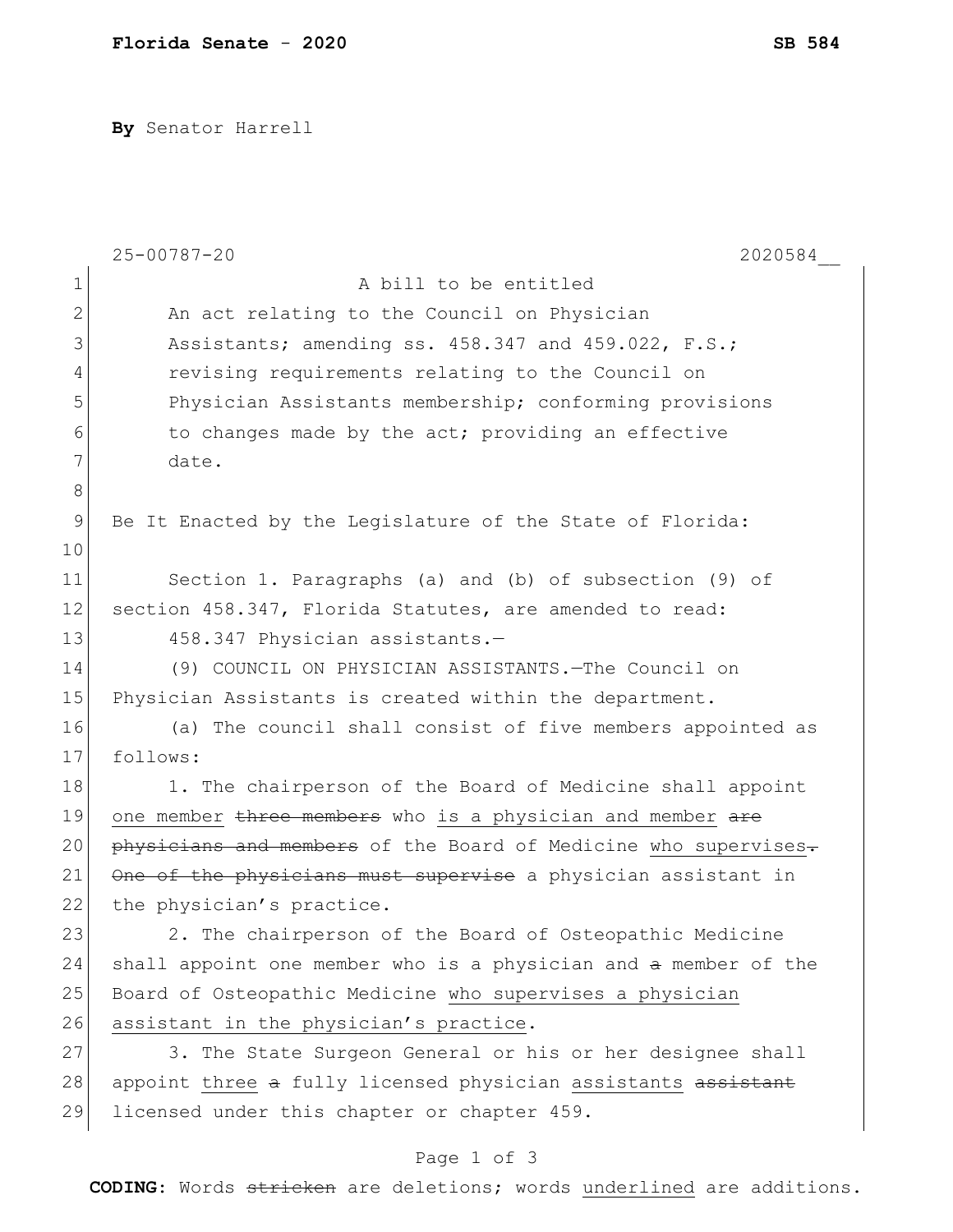**By** Senator Harrell

|               | $25 - 00787 - 20$<br>2020584                                    |
|---------------|-----------------------------------------------------------------|
| 1             | A bill to be entitled                                           |
| 2             | An act relating to the Council on Physician                     |
| 3             | Assistants; amending ss. 458.347 and 459.022, F.S.;             |
| 4             | revising requirements relating to the Council on                |
| 5             | Physician Assistants membership; conforming provisions          |
| 6             | to changes made by the act; providing an effective              |
| 7             | date.                                                           |
| 8             |                                                                 |
| $\mathcal{G}$ | Be It Enacted by the Legislature of the State of Florida:       |
| 10            |                                                                 |
| 11            | Section 1. Paragraphs (a) and (b) of subsection (9) of          |
| 12            | section 458.347, Florida Statutes, are amended to read:         |
| 13            | 458.347 Physician assistants.-                                  |
| 14            | (9) COUNCIL ON PHYSICIAN ASSISTANTS. The Council on             |
| 15            | Physician Assistants is created within the department.          |
| 16            | (a) The council shall consist of five members appointed as      |
| 17            | follows:                                                        |
| 18            | 1. The chairperson of the Board of Medicine shall appoint       |
| 19            | one member three members who is a physician and member are      |
| 20            | physicians and members of the Board of Medicine who supervises. |
| 21            | One of the physicians must supervise a physician assistant in   |
| 22            | the physician's practice.                                       |
| 23            | 2. The chairperson of the Board of Osteopathic Medicine         |
| 24            | shall appoint one member who is a physician and a member of the |
| 25            | Board of Osteopathic Medicine who supervises a physician        |
| 26            | assistant in the physician's practice.                          |
| 27            | 3. The State Surgeon General or his or her designee shall       |
| 28            | appoint three a fully licensed physician assistants assistant   |
| 29            | licensed under this chapter or chapter 459.                     |

## Page 1 of 3

**CODING**: Words stricken are deletions; words underlined are additions.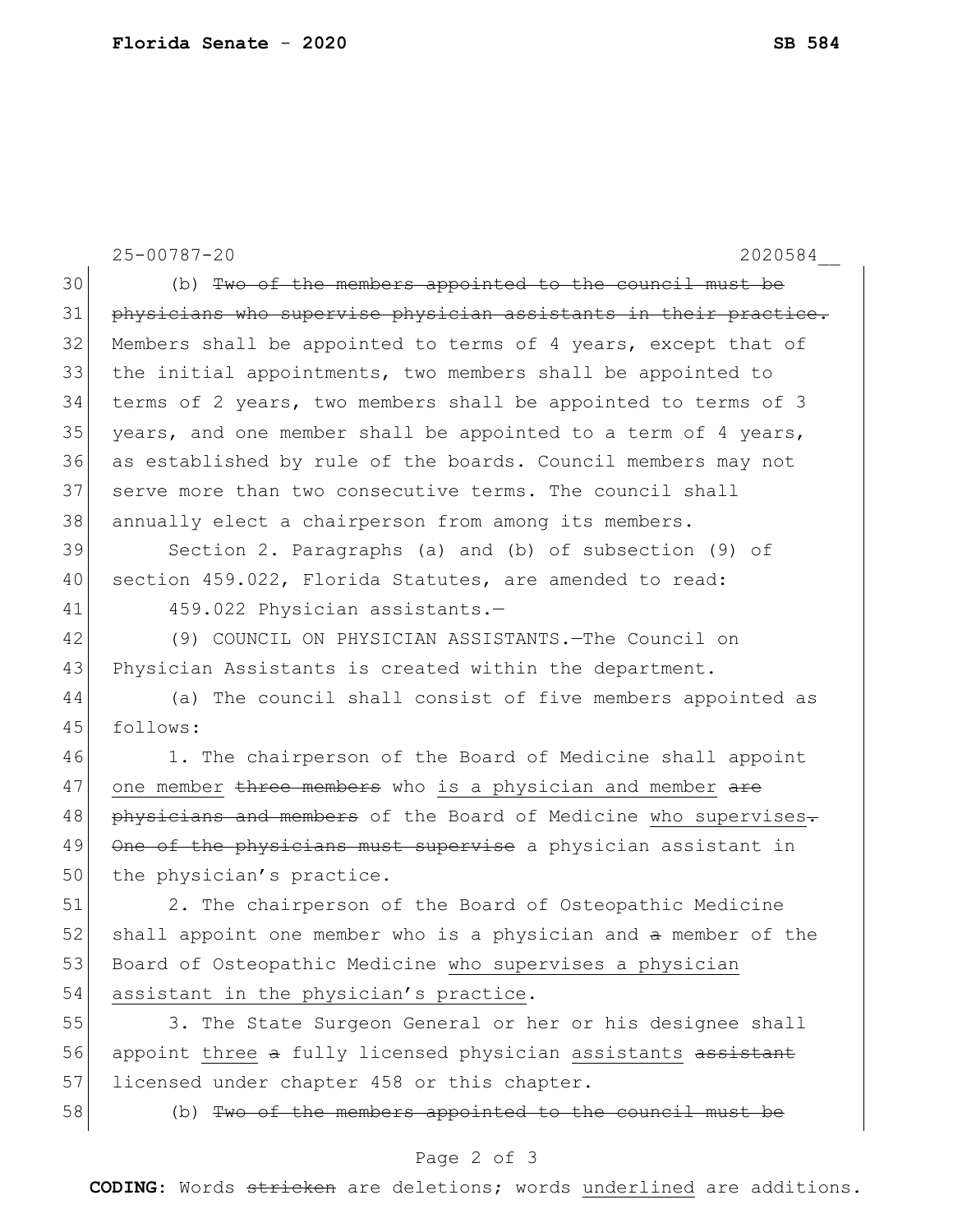|    | $25 - 00787 - 20$<br>2020584                                     |
|----|------------------------------------------------------------------|
| 30 | (b) Two of the members appointed to the council must be          |
| 31 | physicians who supervise physician assistants in their practice. |
| 32 | Members shall be appointed to terms of 4 years, except that of   |
| 33 | the initial appointments, two members shall be appointed to      |
| 34 | terms of 2 years, two members shall be appointed to terms of 3   |
| 35 | years, and one member shall be appointed to a term of 4 years,   |
| 36 | as established by rule of the boards. Council members may not    |
| 37 | serve more than two consecutive terms. The council shall         |
| 38 | annually elect a chairperson from among its members.             |
| 39 | Section 2. Paragraphs (a) and (b) of subsection (9) of           |
| 40 | section 459.022, Florida Statutes, are amended to read:          |
| 41 | 459.022 Physician assistants.-                                   |
| 42 | (9) COUNCIL ON PHYSICIAN ASSISTANTS. - The Council on            |
| 43 | Physician Assistants is created within the department.           |
| 44 | (a) The council shall consist of five members appointed as       |
| 45 | follows:                                                         |
| 46 | 1. The chairperson of the Board of Medicine shall appoint        |
| 47 | one member three members who is a physician and member are       |
| 48 | physicians and members of the Board of Medicine who supervises.  |
| 49 | One of the physicians must supervise a physician assistant in    |
| 50 | the physician's practice.                                        |
| 51 | 2. The chairperson of the Board of Osteopathic Medicine          |
| 52 | shall appoint one member who is a physician and a member of the  |
| 53 | Board of Osteopathic Medicine who supervises a physician         |
| 54 | assistant in the physician's practice.                           |
| 55 | 3. The State Surgeon General or her or his designee shall        |
| 56 | appoint three a fully licensed physician assistants assistant    |
| 57 | licensed under chapter 458 or this chapter.                      |
| 58 | (b) Two of the members appointed to the council must be          |
|    | Page 2 of 3                                                      |

**CODING**: Words stricken are deletions; words underlined are additions.